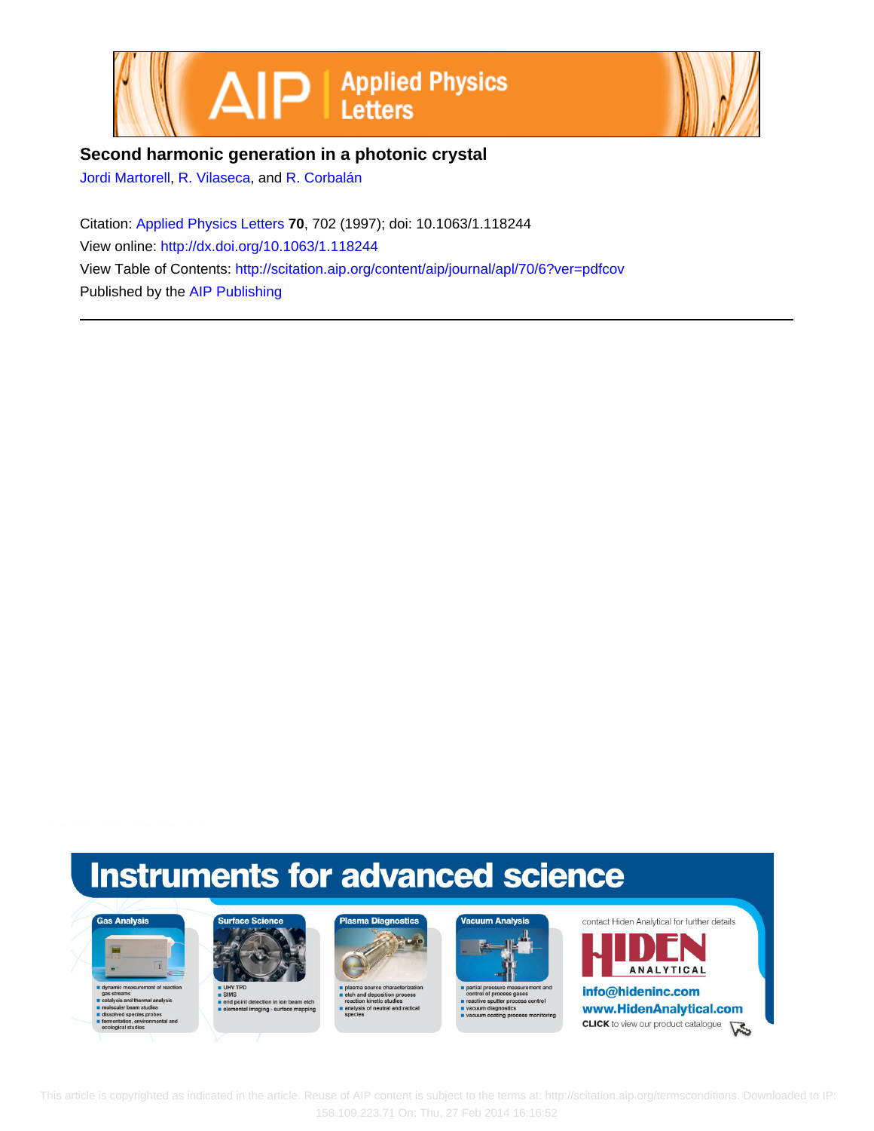



## **Second harmonic generation in a photonic crystal**

[Jordi Martorell](http://scitation.aip.org/search?value1=Jordi+Martorell&option1=author), [R. Vilaseca](http://scitation.aip.org/search?value1=R.+Vilaseca&option1=author), and [R. Corbalán](http://scitation.aip.org/search?value1=R.+Corbal�n&option1=author)

Citation: [Applied Physics Letters](http://scitation.aip.org/content/aip/journal/apl?ver=pdfcov) **70**, 702 (1997); doi: 10.1063/1.118244 View online: <http://dx.doi.org/10.1063/1.118244> View Table of Contents: <http://scitation.aip.org/content/aip/journal/apl/70/6?ver=pdfcov> Published by the [AIP Publishing](http://scitation.aip.org/content/aip?ver=pdfcov)

## **Instruments for advanced science**











contact Hiden Analytical for further details



 This article is copyrighted as indicated in the article. Reuse of AIP content is subject to the terms at: http://scitation.aip.org/termsconditions. Downloaded to IP: 158.109.223.71 On: Thu, 27 Feb 2014 16:16:52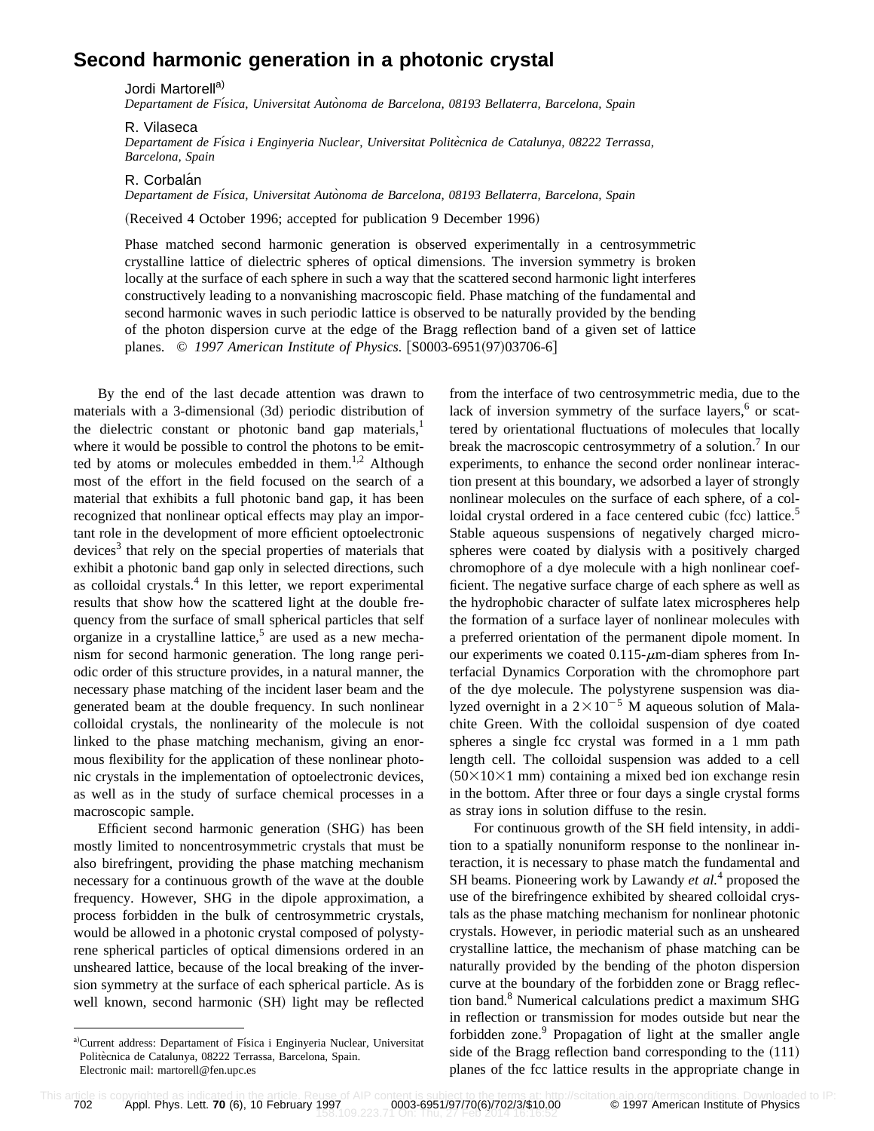## **Second harmonic generation in a photonic crystal**

Jordi Martorell<sup>a)</sup>

*Departament de Fı´sica, Universitat Auto`noma de Barcelona, 08193 Bellaterra, Barcelona, Spain*

## R. Vilaseca

*Departament de Fı´sica i Enginyeria Nuclear, Universitat Polite`cnica de Catalunya, 08222 Terrassa, Barcelona, Spain*

R. Corbalán

*Departament de Fı´sica, Universitat Auto`noma de Barcelona, 08193 Bellaterra, Barcelona, Spain*

(Received 4 October 1996; accepted for publication 9 December 1996)

Phase matched second harmonic generation is observed experimentally in a centrosymmetric crystalline lattice of dielectric spheres of optical dimensions. The inversion symmetry is broken locally at the surface of each sphere in such a way that the scattered second harmonic light interferes constructively leading to a nonvanishing macroscopic field. Phase matching of the fundamental and second harmonic waves in such periodic lattice is observed to be naturally provided by the bending of the photon dispersion curve at the edge of the Bragg reflection band of a given set of lattice planes. © 1997 American Institute of Physics. [S0003-6951(97)03706-6]

By the end of the last decade attention was drawn to materials with a 3-dimensional  $(3d)$  periodic distribution of the dielectric constant or photonic band gap materials, $\frac{1}{2}$ where it would be possible to control the photons to be emitted by atoms or molecules embedded in them.<sup>1,2</sup> Although most of the effort in the field focused on the search of a material that exhibits a full photonic band gap, it has been recognized that nonlinear optical effects may play an important role in the development of more efficient optoelectronic devices<sup>3</sup> that rely on the special properties of materials that exhibit a photonic band gap only in selected directions, such as colloidal crystals.<sup>4</sup> In this letter, we report experimental results that show how the scattered light at the double frequency from the surface of small spherical particles that self organize in a crystalline lattice,<sup>5</sup> are used as a new mechanism for second harmonic generation. The long range periodic order of this structure provides, in a natural manner, the necessary phase matching of the incident laser beam and the generated beam at the double frequency. In such nonlinear colloidal crystals, the nonlinearity of the molecule is not linked to the phase matching mechanism, giving an enormous flexibility for the application of these nonlinear photonic crystals in the implementation of optoelectronic devices, as well as in the study of surface chemical processes in a macroscopic sample.

Efficient second harmonic generation (SHG) has been mostly limited to noncentrosymmetric crystals that must be also birefringent, providing the phase matching mechanism necessary for a continuous growth of the wave at the double frequency. However, SHG in the dipole approximation, a process forbidden in the bulk of centrosymmetric crystals, would be allowed in a photonic crystal composed of polystyrene spherical particles of optical dimensions ordered in an unsheared lattice, because of the local breaking of the inversion symmetry at the surface of each spherical particle. As is well known, second harmonic (SH) light may be reflected

from the interface of two centrosymmetric media, due to the lack of inversion symmetry of the surface layers, $6$  or scattered by orientational fluctuations of molecules that locally break the macroscopic centrosymmetry of a solution.<sup>7</sup> In our experiments, to enhance the second order nonlinear interaction present at this boundary, we adsorbed a layer of strongly nonlinear molecules on the surface of each sphere, of a colloidal crystal ordered in a face centered cubic  $fcc$  lattice.<sup>5</sup> Stable aqueous suspensions of negatively charged microspheres were coated by dialysis with a positively charged chromophore of a dye molecule with a high nonlinear coefficient. The negative surface charge of each sphere as well as the hydrophobic character of sulfate latex microspheres help the formation of a surface layer of nonlinear molecules with a preferred orientation of the permanent dipole moment. In our experiments we coated  $0.115$ - $\mu$ m-diam spheres from Interfacial Dynamics Corporation with the chromophore part of the dye molecule. The polystyrene suspension was dialyzed overnight in a  $2 \times 10^{-5}$  M aqueous solution of Malachite Green. With the colloidal suspension of dye coated spheres a single fcc crystal was formed in a 1 mm path length cell. The colloidal suspension was added to a cell  $(50\times10\times1$  mm) containing a mixed bed ion exchange resin in the bottom. After three or four days a single crystal forms as stray ions in solution diffuse to the resin.

For continuous growth of the SH field intensity, in addition to a spatially nonuniform response to the nonlinear interaction, it is necessary to phase match the fundamental and SH beams. Pioneering work by Lawandy *et al.*<sup>4</sup> proposed the use of the birefringence exhibited by sheared colloidal crystals as the phase matching mechanism for nonlinear photonic crystals. However, in periodic material such as an unsheared crystalline lattice, the mechanism of phase matching can be naturally provided by the bending of the photon dispersion curve at the boundary of the forbidden zone or Bragg reflection band.8 Numerical calculations predict a maximum SHG in reflection or transmission for modes outside but near the forbidden zone.<sup>9</sup> Propagation of light at the smaller angle side of the Bragg reflection band corresponding to the  $(111)$ planes of the fcc lattice results in the appropriate change in

a)Current address: Departament of Física i Enginyeria Nuclear, Universitat Politècnica de Catalunya, 08222 Terrassa, Barcelona, Spain. Electronic mail: martorell@fen.upc.es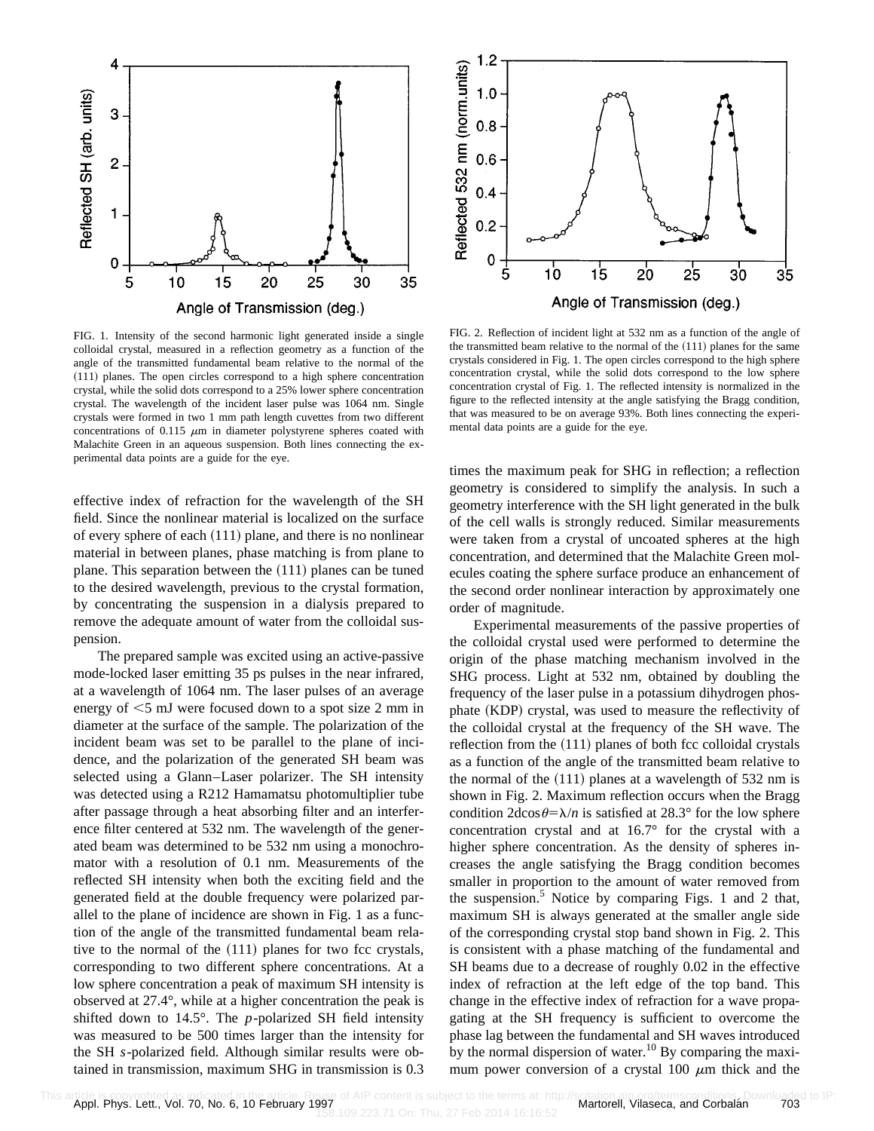

FIG. 1. Intensity of the second harmonic light generated inside a single colloidal crystal, measured in a reflection geometry as a function of the angle of the transmitted fundamental beam relative to the normal of the (111) planes. The open circles correspond to a high sphere concentration crystal, while the solid dots correspond to a 25% lower sphere concentration crystal. The wavelength of the incident laser pulse was 1064 nm. Single crystals were formed in two 1 mm path length cuvettes from two different concentrations of 0.115  $\mu$ m in diameter polystyrene spheres coated with Malachite Green in an aqueous suspension. Both lines connecting the experimental data points are a guide for the eye.

effective index of refraction for the wavelength of the SH field. Since the nonlinear material is localized on the surface of every sphere of each  $(111)$  plane, and there is no nonlinear material in between planes, phase matching is from plane to plane. This separation between the  $(111)$  planes can be tuned to the desired wavelength, previous to the crystal formation, by concentrating the suspension in a dialysis prepared to remove the adequate amount of water from the colloidal suspension.

The prepared sample was excited using an active-passive mode-locked laser emitting 35 ps pulses in the near infrared, at a wavelength of 1064 nm. The laser pulses of an average energy of  $\leq$  5 mJ were focused down to a spot size 2 mm in diameter at the surface of the sample. The polarization of the incident beam was set to be parallel to the plane of incidence, and the polarization of the generated SH beam was selected using a Glann–Laser polarizer. The SH intensity was detected using a R212 Hamamatsu photomultiplier tube after passage through a heat absorbing filter and an interference filter centered at 532 nm. The wavelength of the generated beam was determined to be 532 nm using a monochromator with a resolution of 0.1 nm. Measurements of the reflected SH intensity when both the exciting field and the generated field at the double frequency were polarized parallel to the plane of incidence are shown in Fig. 1 as a function of the angle of the transmitted fundamental beam relative to the normal of the  $(111)$  planes for two fcc crystals, corresponding to two different sphere concentrations. At a low sphere concentration a peak of maximum SH intensity is observed at 27.4°, while at a higher concentration the peak is shifted down to 14.5°. The *p*-polarized SH field intensity was measured to be 500 times larger than the intensity for the SH *s*-polarized field. Although similar results were obtained in transmission, maximum SHG in transmission is 0.3



FIG. 2. Reflection of incident light at 532 nm as a function of the angle of the transmitted beam relative to the normal of the  $(111)$  planes for the same crystals considered in Fig. 1. The open circles correspond to the high sphere concentration crystal, while the solid dots correspond to the low sphere concentration crystal of Fig. 1. The reflected intensity is normalized in the figure to the reflected intensity at the angle satisfying the Bragg condition, that was measured to be on average 93%. Both lines connecting the experimental data points are a guide for the eye.

times the maximum peak for SHG in reflection; a reflection geometry is considered to simplify the analysis. In such a geometry interference with the SH light generated in the bulk of the cell walls is strongly reduced. Similar measurements were taken from a crystal of uncoated spheres at the high concentration, and determined that the Malachite Green molecules coating the sphere surface produce an enhancement of the second order nonlinear interaction by approximately one order of magnitude.

Experimental measurements of the passive properties of the colloidal crystal used were performed to determine the origin of the phase matching mechanism involved in the SHG process. Light at 532 nm, obtained by doubling the frequency of the laser pulse in a potassium dihydrogen phosphate (KDP) crystal, was used to measure the reflectivity of the colloidal crystal at the frequency of the SH wave. The reflection from the  $(111)$  planes of both fcc colloidal crystals as a function of the angle of the transmitted beam relative to the normal of the  $(111)$  planes at a wavelength of 532 nm is shown in Fig. 2. Maximum reflection occurs when the Bragg condition  $2d\cos\theta = \lambda/n$  is satisfied at 28.3° for the low sphere concentration crystal and at 16.7° for the crystal with a higher sphere concentration. As the density of spheres increases the angle satisfying the Bragg condition becomes smaller in proportion to the amount of water removed from the suspension.<sup>5</sup> Notice by comparing Figs. 1 and 2 that, maximum SH is always generated at the smaller angle side of the corresponding crystal stop band shown in Fig. 2. This is consistent with a phase matching of the fundamental and SH beams due to a decrease of roughly 0.02 in the effective index of refraction at the left edge of the top band. This change in the effective index of refraction for a wave propagating at the SH frequency is sufficient to overcome the phase lag between the fundamental and SH waves introduced by the normal dispersion of water.<sup>10</sup> By comparing the maximum power conversion of a crystal 100  $\mu$ m thick and the